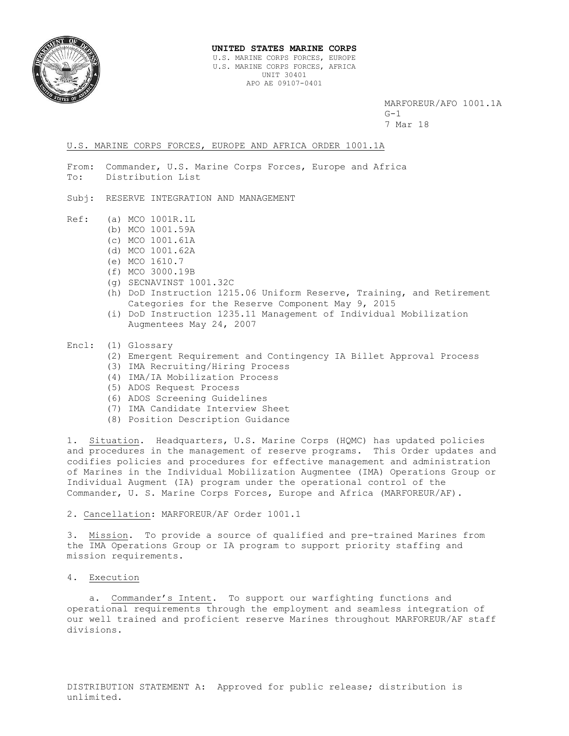

#### **UNITED STATES MARINE CORPS**

U.S. MARINE CORPS FORCES, EUROPE U.S. MARINE CORPS FORCES, AFRICA UNIT 30401 APO AE 09107-0401

 MARFOREUR/AFO 1001.1A  $G-1$ 7 Mar 18

### U.S. MARINE CORPS FORCES, EUROPE AND AFRICA ORDER 1001.1A

- From: Commander, U.S. Marine Corps Forces, Europe and Africa To: Distribution List
- Subj: RESERVE INTEGRATION AND MANAGEMENT
- Ref: (a) MCO 1001R.1L
	- (b) MCO 1001.59A
	- (c) MCO 1001.61A
	- (d) MCO 1001.62A
	- (e) MCO 1610.7
	- (f) MCO 3000.19B
	- (g) SECNAVINST 1001.32C
	- (h) DoD Instruction 1215.06 Uniform Reserve, Training, and Retirement Categories for the Reserve Component May 9, 2015
	- (i) DoD Instruction 1235.11 Management of Individual Mobilization Augmentees May 24, 2007
- Encl: (1) Glossary
	- (2) Emergent Requirement and Contingency IA Billet Approval Process
	- (3) IMA Recruiting/Hiring Process
	- (4) IMA/IA Mobilization Process
	- (5) ADOS Request Process
	- (6) ADOS Screening Guidelines
	- (7) IMA Candidate Interview Sheet
	- (8) Position Description Guidance

1. Situation. Headquarters, U.S. Marine Corps (HQMC) has updated policies and procedures in the management of reserve programs. This Order updates and codifies policies and procedures for effective management and administration of Marines in the Individual Mobilization Augmentee (IMA) Operations Group or Individual Augment (IA) program under the operational control of the Commander, U. S. Marine Corps Forces, Europe and Africa (MARFOREUR/AF).

#### 2. Cancellation: MARFOREUR/AF Order 1001.1

3. Mission. To provide a source of qualified and pre-trained Marines from the IMA Operations Group or IA program to support priority staffing and mission requirements.

4. Execution

 a. Commander's Intent. To support our warfighting functions and operational requirements through the employment and seamless integration of our well trained and proficient reserve Marines throughout MARFOREUR/AF staff divisions.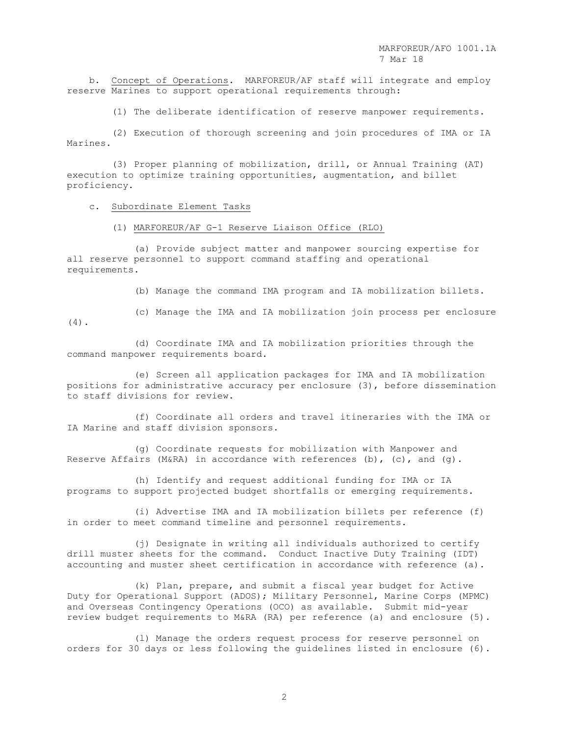b. Concept of Operations. MARFOREUR/AF staff will integrate and employ reserve Marines to support operational requirements through:

(1) The deliberate identification of reserve manpower requirements.

 (2) Execution of thorough screening and join procedures of IMA or IA Marines.

 (3) Proper planning of mobilization, drill, or Annual Training (AT) execution to optimize training opportunities, augmentation, and billet proficiency.

c. Subordinate Element Tasks

command manpower requirements board.

### (1) MARFOREUR/AF G-1 Reserve Liaison Office (RLO)

 (a) Provide subject matter and manpower sourcing expertise for all reserve personnel to support command staffing and operational requirements.

(b) Manage the command IMA program and IA mobilization billets.

(c) Manage the IMA and IA mobilization join process per enclosure

(4).

(d) Coordinate IMA and IA mobilization priorities through the

(e) Screen all application packages for IMA and IA mobilization

positions for administrative accuracy per enclosure (3), before dissemination to staff divisions for review.

 (f) Coordinate all orders and travel itineraries with the IMA or IA Marine and staff division sponsors.

 (g) Coordinate requests for mobilization with Manpower and Reserve Affairs (M&RA) in accordance with references (b),  $(c)$ , and  $(g)$ .

 (h) Identify and request additional funding for IMA or IA programs to support projected budget shortfalls or emerging requirements.

 (i) Advertise IMA and IA mobilization billets per reference (f) in order to meet command timeline and personnel requirements.

 (j) Designate in writing all individuals authorized to certify drill muster sheets for the command. Conduct Inactive Duty Training (IDT) accounting and muster sheet certification in accordance with reference (a).

 (k) Plan, prepare, and submit a fiscal year budget for Active Duty for Operational Support (ADOS); Military Personnel, Marine Corps (MPMC) and Overseas Contingency Operations (OCO) as available. Submit mid-year review budget requirements to M&RA (RA) per reference (a) and enclosure (5).

 (l) Manage the orders request process for reserve personnel on orders for 30 days or less following the guidelines listed in enclosure (6).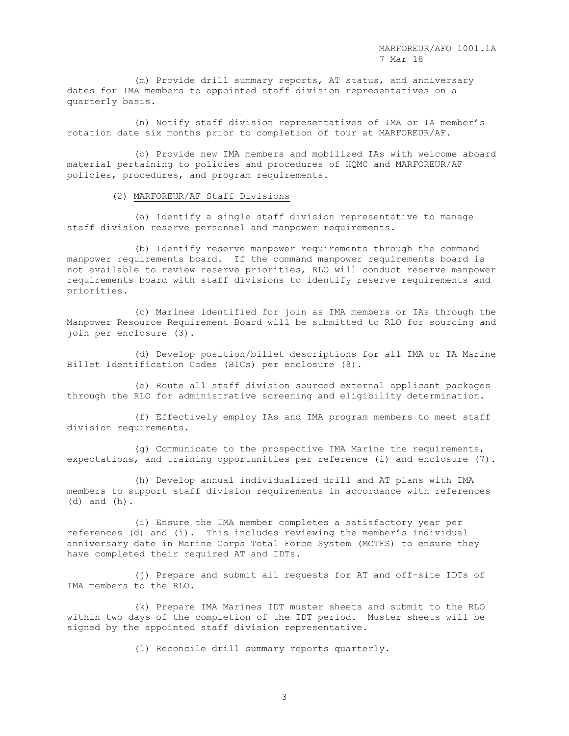(m) Provide drill summary reports, AT status, and anniversary dates for IMA members to appointed staff division representatives on a quarterly basis.

 (n) Notify staff division representatives of IMA or IA member's rotation date six months prior to completion of tour at MARFOREUR/AF.

 (o) Provide new IMA members and mobilized IAs with welcome aboard material pertaining to policies and procedures of HQMC and MARFOREUR/AF policies, procedures, and program requirements.

(2) MARFOREUR/AF Staff Divisions

 (a) Identify a single staff division representative to manage staff division reserve personnel and manpower requirements.

 (b) Identify reserve manpower requirements through the command manpower requirements board. If the command manpower requirements board is not available to review reserve priorities, RLO will conduct reserve manpower requirements board with staff divisions to identify reserve requirements and priorities.

 (c) Marines identified for join as IMA members or IAs through the Manpower Resource Requirement Board will be submitted to RLO for sourcing and join per enclosure (3).

 (d) Develop position/billet descriptions for all IMA or IA Marine Billet Identification Codes (BICs) per enclosure (8).

 (e) Route all staff division sourced external applicant packages through the RLO for administrative screening and eligibility determination.

 (f) Effectively employ IAs and IMA program members to meet staff division requirements.

 (g) Communicate to the prospective IMA Marine the requirements, expectations, and training opportunities per reference (i) and enclosure (7).

 (h) Develop annual individualized drill and AT plans with IMA members to support staff division requirements in accordance with references (d) and (h).

 (i) Ensure the IMA member completes a satisfactory year per references (d) and (i). This includes reviewing the member's individual anniversary date in Marine Corps Total Force System (MCTFS) to ensure they have completed their required AT and IDTs.

 (j) Prepare and submit all requests for AT and off-site IDTs of IMA members to the RLO.

 (k) Prepare IMA Marines IDT muster sheets and submit to the RLO within two days of the completion of the IDT period. Muster sheets will be signed by the appointed staff division representative.

(l) Reconcile drill summary reports quarterly.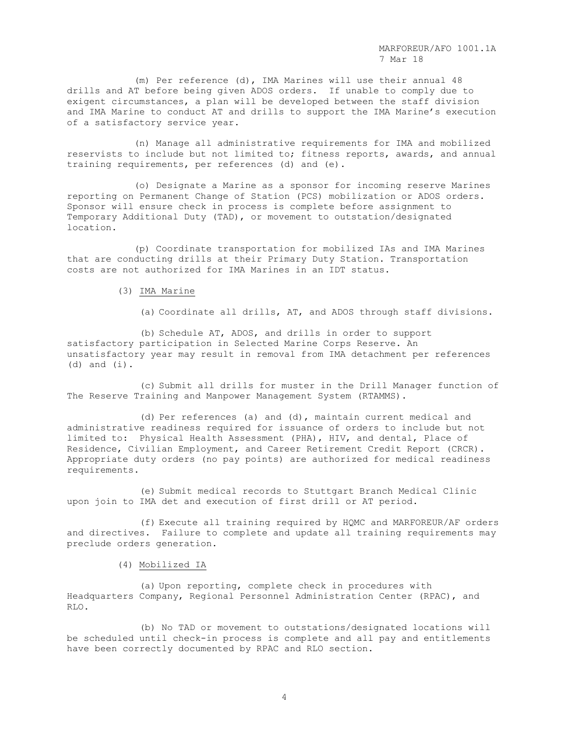(m) Per reference (d), IMA Marines will use their annual 48 drills and AT before being given ADOS orders. If unable to comply due to exigent circumstances, a plan will be developed between the staff division and IMA Marine to conduct AT and drills to support the IMA Marine's execution of a satisfactory service year.

 (n) Manage all administrative requirements for IMA and mobilized reservists to include but not limited to; fitness reports, awards, and annual training requirements, per references (d) and (e).

 (o) Designate a Marine as a sponsor for incoming reserve Marines reporting on Permanent Change of Station (PCS) mobilization or ADOS orders. Sponsor will ensure check in process is complete before assignment to Temporary Additional Duty (TAD), or movement to outstation/designated location.

 (p) Coordinate transportation for mobilized IAs and IMA Marines that are conducting drills at their Primary Duty Station. Transportation costs are not authorized for IMA Marines in an IDT status.

# (3) IMA Marine

(a) Coordinate all drills, AT, and ADOS through staff divisions.

(b) Schedule AT, ADOS, and drills in order to support satisfactory participation in Selected Marine Corps Reserve. An unsatisfactory year may result in removal from IMA detachment per references (d) and (i).

(c) Submit all drills for muster in the Drill Manager function of The Reserve Training and Manpower Management System (RTAMMS).

(d) Per references (a) and (d), maintain current medical and administrative readiness required for issuance of orders to include but not limited to: Physical Health Assessment (PHA), HIV, and dental, Place of Residence, Civilian Employment, and Career Retirement Credit Report (CRCR). Appropriate duty orders (no pay points) are authorized for medical readiness requirements.

(e) Submit medical records to Stuttgart Branch Medical Clinic upon join to IMA det and execution of first drill or AT period.

(f) Execute all training required by HQMC and MARFOREUR/AF orders and directives. Failure to complete and update all training requirements may preclude orders generation.

## (4) Mobilized IA

(a) Upon reporting, complete check in procedures with Headquarters Company, Regional Personnel Administration Center (RPAC), and RLO.

 (b) No TAD or movement to outstations/designated locations will be scheduled until check-in process is complete and all pay and entitlements have been correctly documented by RPAC and RLO section.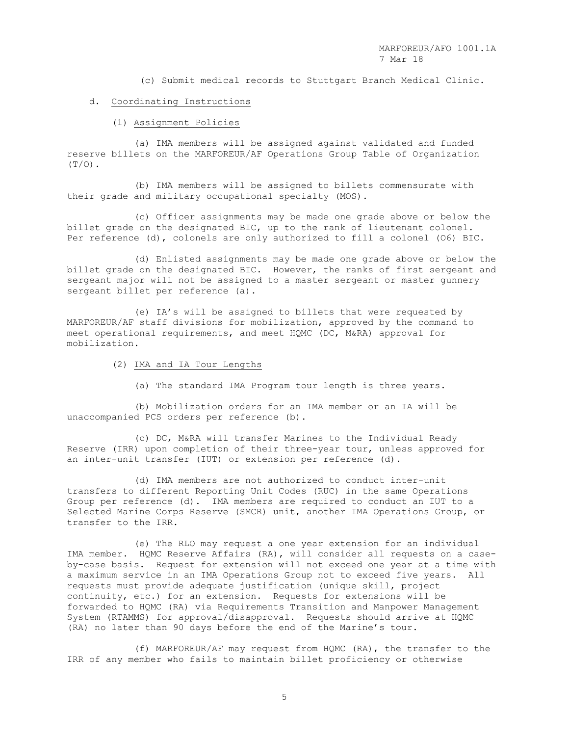(c) Submit medical records to Stuttgart Branch Medical Clinic.

### d. Coordinating Instructions

## (1) Assignment Policies

 (a) IMA members will be assigned against validated and funded reserve billets on the MARFOREUR/AF Operations Group Table of Organization  $(T/O)$ .

 (b) IMA members will be assigned to billets commensurate with their grade and military occupational specialty (MOS).

 (c) Officer assignments may be made one grade above or below the billet grade on the designated BIC, up to the rank of lieutenant colonel. Per reference (d), colonels are only authorized to fill a colonel (O6) BIC.

 (d) Enlisted assignments may be made one grade above or below the billet grade on the designated BIC. However, the ranks of first sergeant and sergeant major will not be assigned to a master sergeant or master gunnery sergeant billet per reference (a).

 (e) IA's will be assigned to billets that were requested by MARFOREUR/AF staff divisions for mobilization, approved by the command to meet operational requirements, and meet HQMC (DC, M&RA) approval for mobilization.

- (2) IMA and IA Tour Lengths
	- (a) The standard IMA Program tour length is three years.

 (b) Mobilization orders for an IMA member or an IA will be unaccompanied PCS orders per reference (b).

 (c) DC, M&RA will transfer Marines to the Individual Ready Reserve (IRR) upon completion of their three-year tour, unless approved for an inter-unit transfer (IUT) or extension per reference (d).

 (d) IMA members are not authorized to conduct inter-unit transfers to different Reporting Unit Codes (RUC) in the same Operations Group per reference (d). IMA members are required to conduct an IUT to a Selected Marine Corps Reserve (SMCR) unit, another IMA Operations Group, or transfer to the IRR.

 (e) The RLO may request a one year extension for an individual IMA member. HQMC Reserve Affairs (RA), will consider all requests on a caseby-case basis. Request for extension will not exceed one year at a time with a maximum service in an IMA Operations Group not to exceed five years. All requests must provide adequate justification (unique skill, project continuity, etc.) for an extension. Requests for extensions will be forwarded to HQMC (RA) via Requirements Transition and Manpower Management System (RTAMMS) for approval/disapproval. Requests should arrive at HQMC (RA) no later than 90 days before the end of the Marine's tour.

 (f) MARFOREUR/AF may request from HQMC (RA), the transfer to the IRR of any member who fails to maintain billet proficiency or otherwise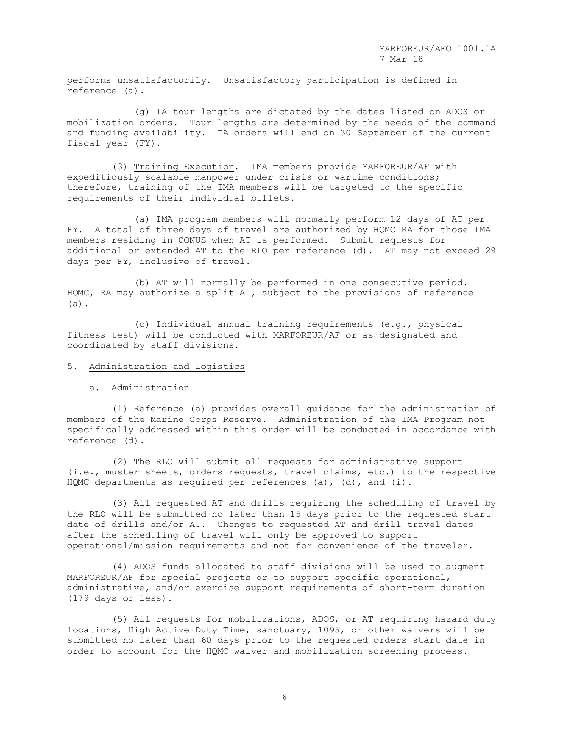performs unsatisfactorily. Unsatisfactory participation is defined in reference (a).

 (g) IA tour lengths are dictated by the dates listed on ADOS or mobilization orders. Tour lengths are determined by the needs of the command and funding availability. IA orders will end on 30 September of the current fiscal year (FY).

 (3) Training Execution. IMA members provide MARFOREUR/AF with expeditiously scalable manpower under crisis or wartime conditions; therefore, training of the IMA members will be targeted to the specific requirements of their individual billets.

 (a) IMA program members will normally perform 12 days of AT per FY. A total of three days of travel are authorized by HQMC RA for those IMA members residing in CONUS when AT is performed. Submit requests for additional or extended AT to the RLO per reference (d). AT may not exceed 29 days per FY, inclusive of travel.

 (b) AT will normally be performed in one consecutive period. HQMC, RA may authorize a split AT, subject to the provisions of reference (a).

 (c) Individual annual training requirements (e.g., physical fitness test) will be conducted with MARFOREUR/AF or as designated and coordinated by staff divisions.

## 5. Administration and Logistics

a. Administration

 (1) Reference (a) provides overall guidance for the administration of members of the Marine Corps Reserve. Administration of the IMA Program not specifically addressed within this order will be conducted in accordance with reference (d).

 (2) The RLO will submit all requests for administrative support (i.e., muster sheets, orders requests, travel claims, etc.) to the respective HQMC departments as required per references (a), (d), and (i).

 (3) All requested AT and drills requiring the scheduling of travel by the RLO will be submitted no later than 15 days prior to the requested start date of drills and/or AT. Changes to requested AT and drill travel dates after the scheduling of travel will only be approved to support operational/mission requirements and not for convenience of the traveler.

 (4) ADOS funds allocated to staff divisions will be used to augment MARFOREUR/AF for special projects or to support specific operational, administrative, and/or exercise support requirements of short-term duration (179 days or less).

 (5) All requests for mobilizations, ADOS, or AT requiring hazard duty locations, High Active Duty Time, sanctuary, 1095, or other waivers will be submitted no later than 60 days prior to the requested orders start date in order to account for the HQMC waiver and mobilization screening process.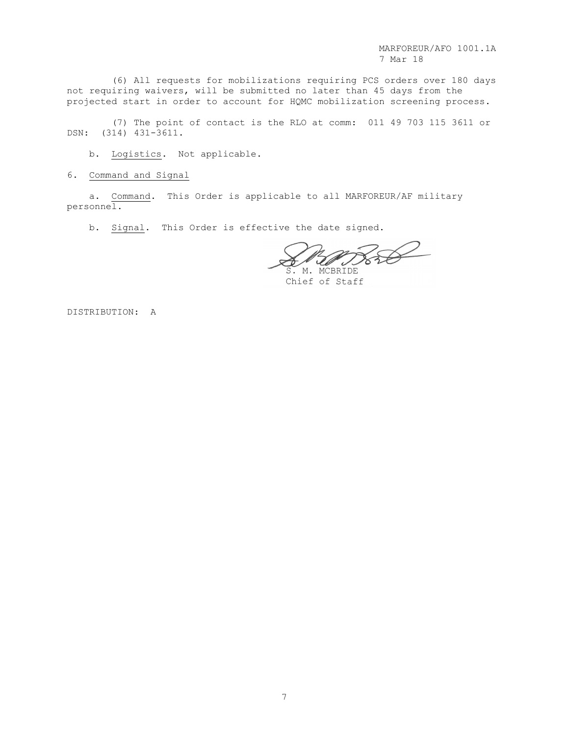(6) All requests for mobilizations requiring PCS orders over 180 days not requiring waivers, will be submitted no later than 45 days from the projected start in order to account for HQMC mobilization screening process.

(7) The point of contact is the RLO at comm: 011 49 703 115 3611 or DSN: (314) 431-3611.

b. Logistics. Not applicable.

6. Command and Signal

a. Command. This Order is applicable to all MARFOREUR/AF military personnel.

b. Signal. This Order is effective the date signed.

S. M. MCBRIDE

Chief of Staff

DISTRIBUTION: A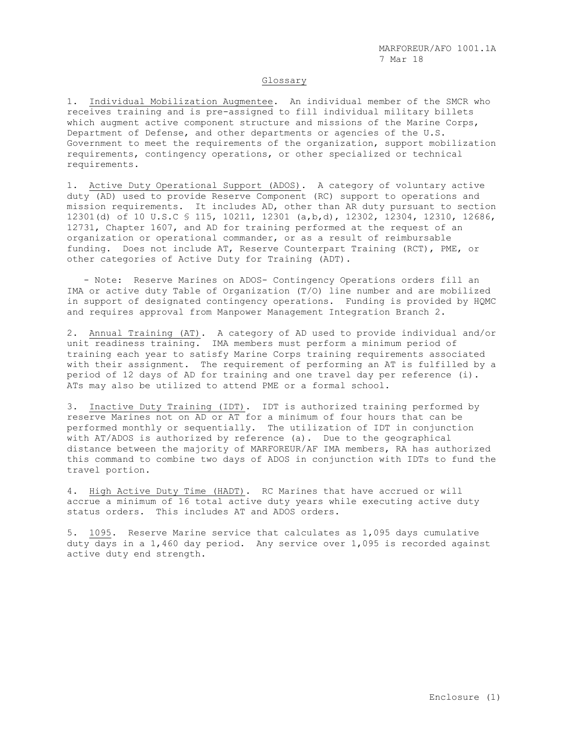### Glossary

1. Individual Mobilization Augmentee. An individual member of the SMCR who receives training and is pre-assigned to fill individual military billets which augment active component structure and missions of the Marine Corps, Department of Defense, and other departments or agencies of the U.S. Government to meet the requirements of the organization, support mobilization requirements, contingency operations, or other specialized or technical requirements.

1. Active Duty Operational Support (ADOS). A category of voluntary active duty (AD) used to provide Reserve Component (RC) support to operations and mission requirements. It includes AD, other than AR duty pursuant to section 12301(d) of 10 U.S.C § 115, 10211, 12301 (a,b,d), 12302, 12304, 12310, 12686, 12731, Chapter 1607, and AD for training performed at the request of an organization or operational commander, or as a result of reimbursable funding. Does not include AT, Reserve Counterpart Training (RCT), PME, or other categories of Active Duty for Training (ADT).

 - Note: Reserve Marines on ADOS- Contingency Operations orders fill an IMA or active duty Table of Organization (T/O) line number and are mobilized in support of designated contingency operations. Funding is provided by HQMC and requires approval from Manpower Management Integration Branch 2.

2. Annual Training (AT). A category of AD used to provide individual and/or unit readiness training. IMA members must perform a minimum period of training each year to satisfy Marine Corps training requirements associated with their assignment. The requirement of performing an AT is fulfilled by a period of 12 days of AD for training and one travel day per reference (i). ATs may also be utilized to attend PME or a formal school.

3. Inactive Duty Training (IDT). IDT is authorized training performed by reserve Marines not on AD or AT for a minimum of four hours that can be performed monthly or sequentially. The utilization of IDT in conjunction with AT/ADOS is authorized by reference (a). Due to the geographical distance between the majority of MARFOREUR/AF IMA members, RA has authorized this command to combine two days of ADOS in conjunction with IDTs to fund the travel portion.

4. High Active Duty Time (HADT). RC Marines that have accrued or will accrue a minimum of 16 total active duty years while executing active duty status orders. This includes AT and ADOS orders.

5. 1095. Reserve Marine service that calculates as 1,095 days cumulative duty days in a 1,460 day period. Any service over 1,095 is recorded against active duty end strength.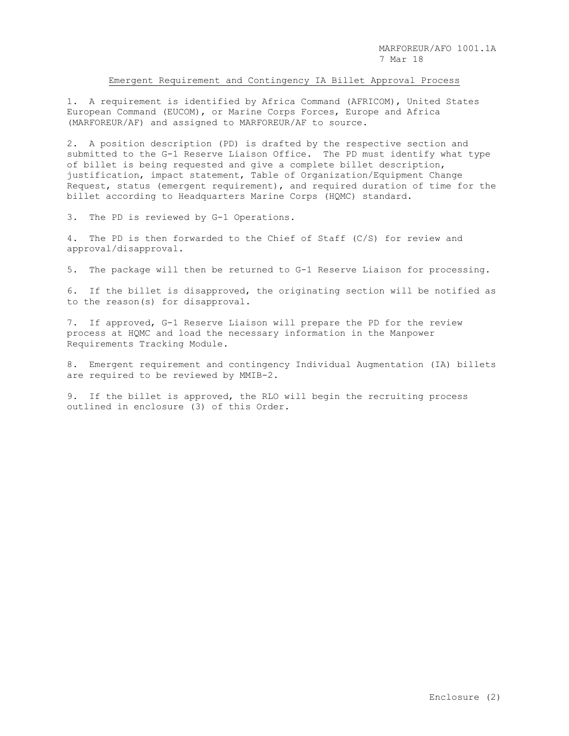### Emergent Requirement and Contingency IA Billet Approval Process

1. A requirement is identified by Africa Command (AFRICOM), United States European Command (EUCOM), or Marine Corps Forces, Europe and Africa (MARFOREUR/AF) and assigned to MARFOREUR/AF to source.

2. A position description (PD) is drafted by the respective section and submitted to the G-1 Reserve Liaison Office. The PD must identify what type of billet is being requested and give a complete billet description, justification, impact statement, Table of Organization/Equipment Change Request, status (emergent requirement), and required duration of time for the billet according to Headquarters Marine Corps (HQMC) standard.

3. The PD is reviewed by G-1 Operations.

4. The PD is then forwarded to the Chief of Staff (C/S) for review and approval/disapproval.

5. The package will then be returned to G-1 Reserve Liaison for processing.

6. If the billet is disapproved, the originating section will be notified as to the reason(s) for disapproval.

7. If approved, G-1 Reserve Liaison will prepare the PD for the review process at HQMC and load the necessary information in the Manpower Requirements Tracking Module.

8. Emergent requirement and contingency Individual Augmentation (IA) billets are required to be reviewed by MMIB-2.

9. If the billet is approved, the RLO will begin the recruiting process outlined in enclosure (3) of this Order.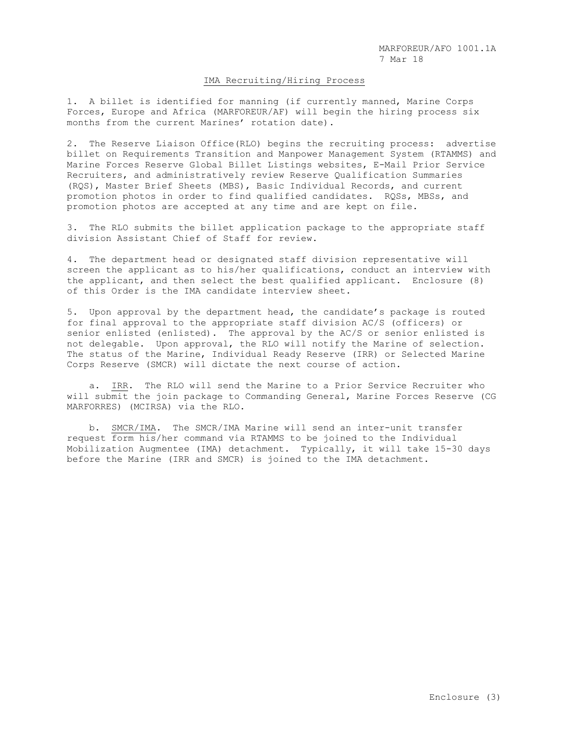### IMA Recruiting/Hiring Process

1. A billet is identified for manning (if currently manned, Marine Corps Forces, Europe and Africa (MARFOREUR/AF) will begin the hiring process six months from the current Marines' rotation date).

2. The Reserve Liaison Office(RLO) begins the recruiting process: advertise billet on Requirements Transition and Manpower Management System (RTAMMS) and Marine Forces Reserve Global Billet Listings websites, E-Mail Prior Service Recruiters, and administratively review Reserve Qualification Summaries (RQS), Master Brief Sheets (MBS), Basic Individual Records, and current promotion photos in order to find qualified candidates. RQSs, MBSs, and promotion photos are accepted at any time and are kept on file.

3. The RLO submits the billet application package to the appropriate staff division Assistant Chief of Staff for review.

4. The department head or designated staff division representative will screen the applicant as to his/her qualifications, conduct an interview with the applicant, and then select the best qualified applicant. Enclosure (8) of this Order is the IMA candidate interview sheet.

5. Upon approval by the department head, the candidate's package is routed for final approval to the appropriate staff division AC/S (officers) or senior enlisted (enlisted). The approval by the AC/S or senior enlisted is not delegable. Upon approval, the RLO will notify the Marine of selection. The status of the Marine, Individual Ready Reserve (IRR) or Selected Marine Corps Reserve (SMCR) will dictate the next course of action.

 a. IRR. The RLO will send the Marine to a Prior Service Recruiter who will submit the join package to Commanding General, Marine Forces Reserve (CG MARFORRES) (MCIRSA) via the RLO.

 b. SMCR/IMA. The SMCR/IMA Marine will send an inter-unit transfer request form his/her command via RTAMMS to be joined to the Individual Mobilization Augmentee (IMA) detachment. Typically, it will take 15-30 days before the Marine (IRR and SMCR) is joined to the IMA detachment.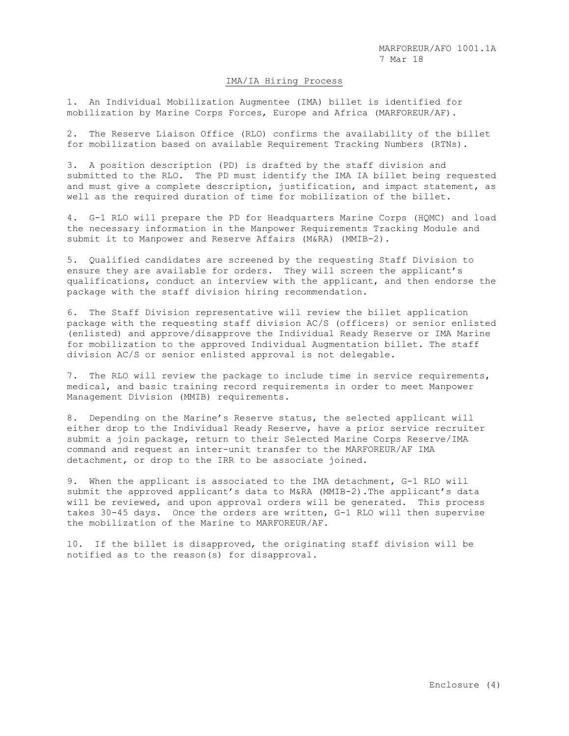### IMA/IA Hiring Process

1. An Individual Mobilization Augmentee (IMA) billet is identified for mobilization by Marine Corps Forces, Europe and Africa (MARFOREUR/AF).

2. The Reserve Liaison Office (RLO) confirms the availability of the billet for mobilization based on available Requirement Tracking Numbers (RTNs).

3. A position description (PD) is drafted by the staff division and submitted to the RLO. The PD must identify the IMA IA billet being requested and must give a complete description, justification, and impact statement, as well as the required duration of time for mobilization of the billet.

4. G-1 RLO will prepare the PD for Headquarters Marine Corps (HQMC) and load the necessary information in the Manpower Requirements Tracking Module and submit it to Manpower and Reserve Affairs (M&RA) (MMIB-2).

5. Qualified candidates are screened by the requesting Staff Division to ensure they are available for orders. They will screen the applicant's qualifications, conduct an interview with the applicant, and then endorse the package with the staff division hiring recommendation.

6. The Staff Division representative will review the billet application package with the requesting staff division AC/S (officers) or senior enlisted (enlisted) and approve/disapprove the Individual Ready Reserve or IMA Marine for mobilization to the approved Individual Augmentation billet. The staff division AC/S or senior enlisted approval is not delegable.

7. The RLO will review the package to include time in service requirements, medical, and basic training record requirements in order to meet Manpower Management Division (MMIB) requirements.

8. Depending on the Marine's Reserve status, the selected applicant will either drop to the Individual Ready Reserve, have a prior service recruiter submit a join package, return to their Selected Marine Corps Reserve/IMA command and request an inter-unit transfer to the MARFOREUR/AF IMA detachment, or drop to the IRR to be associate joined.

9. When the applicant is associated to the IMA detachment, G-1 RLO will submit the approved applicant's data to M&RA (MMIB-2).The applicant's data will be reviewed, and upon approval orders will be generated. This process takes 30-45 days. Once the orders are written, G-1 RLO will then supervise the mobilization of the Marine to MARFOREUR/AF.

10. If the billet is disapproved, the originating staff division will be notified as to the reason(s) for disapproval.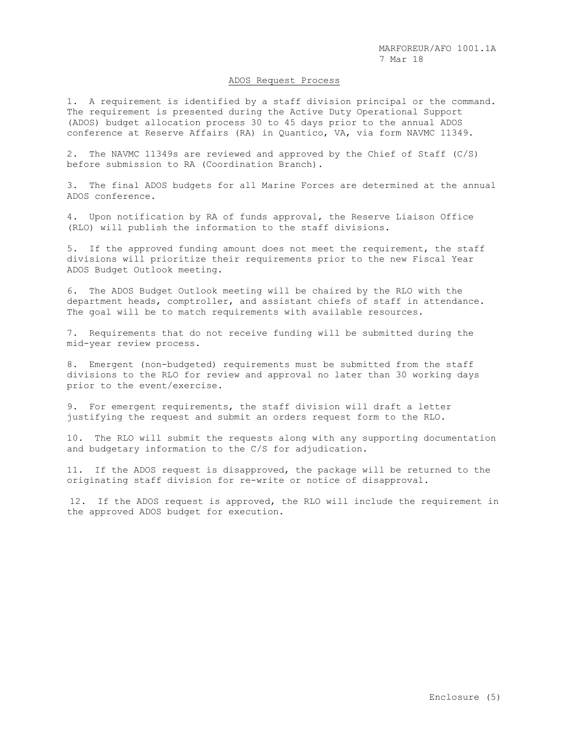#### ADOS Request Process

1. A requirement is identified by a staff division principal or the command. The requirement is presented during the Active Duty Operational Support (ADOS) budget allocation process 30 to 45 days prior to the annual ADOS conference at Reserve Affairs (RA) in Quantico, VA, via form NAVMC 11349.

2. The NAVMC 11349s are reviewed and approved by the Chief of Staff (C/S) before submission to RA (Coordination Branch).

3. The final ADOS budgets for all Marine Forces are determined at the annual ADOS conference.

4. Upon notification by RA of funds approval, the Reserve Liaison Office (RLO) will publish the information to the staff divisions.

5. If the approved funding amount does not meet the requirement, the staff divisions will prioritize their requirements prior to the new Fiscal Year ADOS Budget Outlook meeting.

6. The ADOS Budget Outlook meeting will be chaired by the RLO with the department heads, comptroller, and assistant chiefs of staff in attendance. The goal will be to match requirements with available resources.

7. Requirements that do not receive funding will be submitted during the mid-year review process.

8. Emergent (non-budgeted) requirements must be submitted from the staff divisions to the RLO for review and approval no later than 30 working days prior to the event/exercise.

9. For emergent requirements, the staff division will draft a letter justifying the request and submit an orders request form to the RLO.

10. The RLO will submit the requests along with any supporting documentation and budgetary information to the C/S for adjudication.

11. If the ADOS request is disapproved, the package will be returned to the originating staff division for re-write or notice of disapproval.

12. If the ADOS request is approved, the RLO will include the requirement in the approved ADOS budget for execution.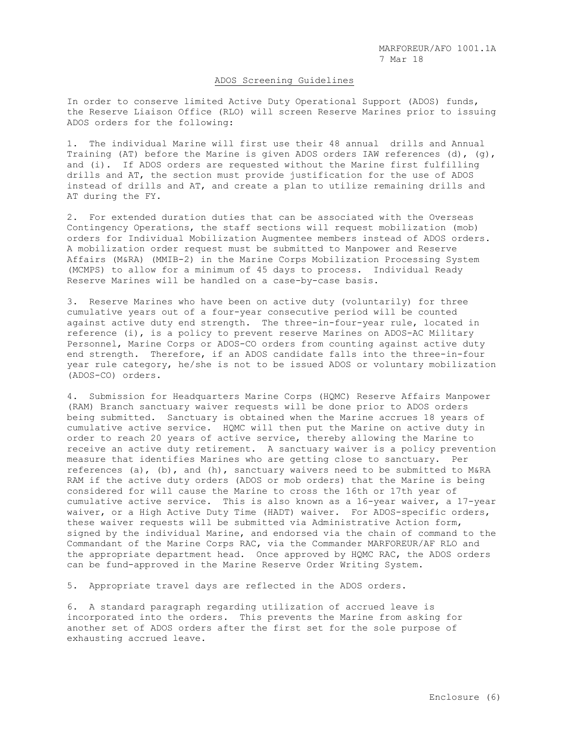### ADOS Screening Guidelines

In order to conserve limited Active Duty Operational Support (ADOS) funds, the Reserve Liaison Office (RLO) will screen Reserve Marines prior to issuing ADOS orders for the following:

1. The individual Marine will first use their 48 annual drills and Annual Training (AT) before the Marine is given ADOS orders IAW references (d), (g), and (i). If ADOS orders are requested without the Marine first fulfilling drills and AT, the section must provide justification for the use of ADOS instead of drills and AT, and create a plan to utilize remaining drills and AT during the FY.

2. For extended duration duties that can be associated with the Overseas Contingency Operations, the staff sections will request mobilization (mob) orders for Individual Mobilization Augmentee members instead of ADOS orders. A mobilization order request must be submitted to Manpower and Reserve Affairs (M&RA) (MMIB-2) in the Marine Corps Mobilization Processing System (MCMPS) to allow for a minimum of 45 days to process. Individual Ready Reserve Marines will be handled on a case-by-case basis.

3. Reserve Marines who have been on active duty (voluntarily) for three cumulative years out of a four-year consecutive period will be counted against active duty end strength. The three-in-four-year rule, located in reference (i), is a policy to prevent reserve Marines on ADOS-AC Military Personnel, Marine Corps or ADOS-CO orders from counting against active duty end strength. Therefore, if an ADOS candidate falls into the three-in-four year rule category, he/she is not to be issued ADOS or voluntary mobilization (ADOS-CO) orders.

4. Submission for Headquarters Marine Corps (HQMC) Reserve Affairs Manpower (RAM) Branch sanctuary waiver requests will be done prior to ADOS orders being submitted. Sanctuary is obtained when the Marine accrues 18 years of cumulative active service. HQMC will then put the Marine on active duty in order to reach 20 years of active service, thereby allowing the Marine to receive an active duty retirement. A sanctuary waiver is a policy prevention measure that identifies Marines who are getting close to sanctuary. Per references (a), (b), and (h), sanctuary waivers need to be submitted to M&RA RAM if the active duty orders (ADOS or mob orders) that the Marine is being considered for will cause the Marine to cross the 16th or 17th year of cumulative active service. This is also known as a 16-year waiver, a 17-year waiver, or a High Active Duty Time (HADT) waiver. For ADOS-specific orders, these waiver requests will be submitted via Administrative Action form, signed by the individual Marine, and endorsed via the chain of command to the Commandant of the Marine Corps RAC, via the Commander MARFOREUR/AF RLO and the appropriate department head. Once approved by HQMC RAC, the ADOS orders can be fund-approved in the Marine Reserve Order Writing System.

5. Appropriate travel days are reflected in the ADOS orders.

6. A standard paragraph regarding utilization of accrued leave is incorporated into the orders. This prevents the Marine from asking for another set of ADOS orders after the first set for the sole purpose of exhausting accrued leave.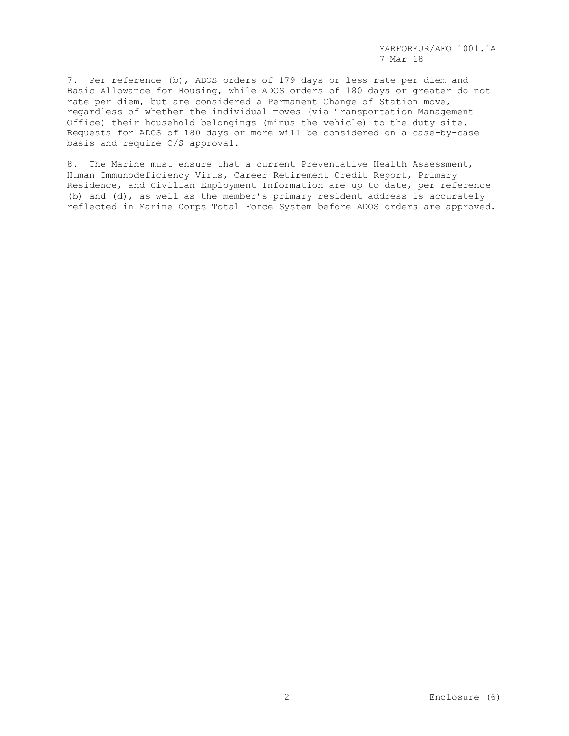7. Per reference (b), ADOS orders of 179 days or less rate per diem and Basic Allowance for Housing, while ADOS orders of 180 days or greater do not rate per diem, but are considered a Permanent Change of Station move, regardless of whether the individual moves (via Transportation Management Office) their household belongings (minus the vehicle) to the duty site. Requests for ADOS of 180 days or more will be considered on a case-by-case basis and require C/S approval.

8. The Marine must ensure that a current Preventative Health Assessment, Human Immunodeficiency Virus, Career Retirement Credit Report, Primary Residence, and Civilian Employment Information are up to date, per reference (b) and (d), as well as the member's primary resident address is accurately reflected in Marine Corps Total Force System before ADOS orders are approved.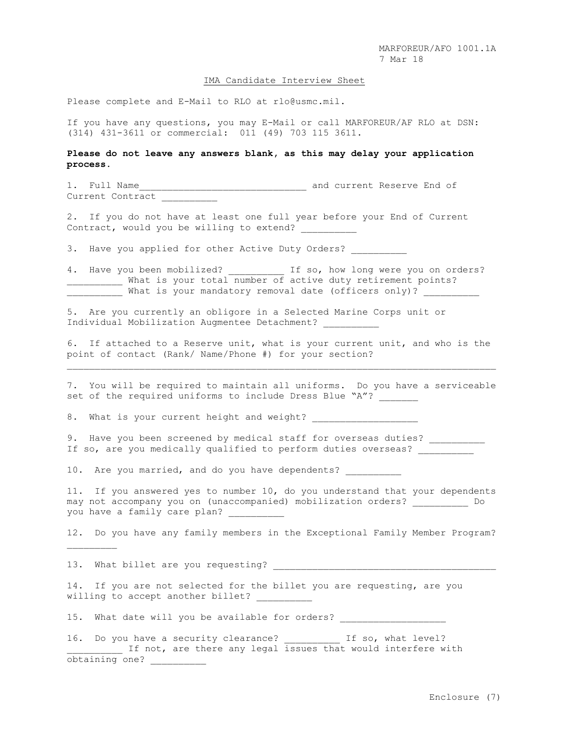#### IMA Candidate Interview Sheet

Please complete and E-Mail to RLO at rlo@usmc.mil.

If you have any questions, you may E-Mail or call MARFOREUR/AF RLO at DSN: (314) 431-3611 or commercial: 011 (49) 703 115 3611.

## **Please do not leave any answers blank, as this may delay your application process.**

1. Full Name and current Reserve End of Current Contract

2. If you do not have at least one full year before your End of Current Contract, would you be willing to extend? \_\_\_\_\_\_\_\_\_\_

3. Have you applied for other Active Duty Orders?

4. Have you been mobilized? The so, how long were you on orders? What is your total number of active duty retirement points? \_\_\_\_\_\_\_\_\_\_ What is your mandatory removal date (officers only)? \_\_\_\_\_\_\_\_\_\_

5. Are you currently an obligore in a Selected Marine Corps unit or Individual Mobilization Augmentee Detachment?

6. If attached to a Reserve unit, what is your current unit, and who is the point of contact (Rank/ Name/Phone #) for your section?

7. You will be required to maintain all uniforms. Do you have a serviceable set of the required uniforms to include Dress Blue "A"?

8. What is your current height and weight?

9. Have you been screened by medical staff for overseas duties? \_\_\_\_\_\_\_\_\_\_\_\_\_\_\_\_ If so, are you medically qualified to perform duties overseas?

10. Are you married, and do you have dependents?

11. If you answered yes to number 10, do you understand that your dependents may not accompany you on (unaccompanied) mobilization orders? \_\_\_\_\_\_\_\_\_\_ Do you have a family care plan?

12. Do you have any family members in the Exceptional Family Member Program?

13. What billet are you requesting? \_\_\_\_\_\_\_\_\_

14. If you are not selected for the billet you are requesting, are you willing to accept another billet?

15. What date will you be available for orders?

16. Do you have a security clearance? \_\_\_\_\_\_\_\_\_\_ If so, what level? If not, are there any legal issues that would interfere with obtaining one? \_\_\_\_\_\_\_\_\_\_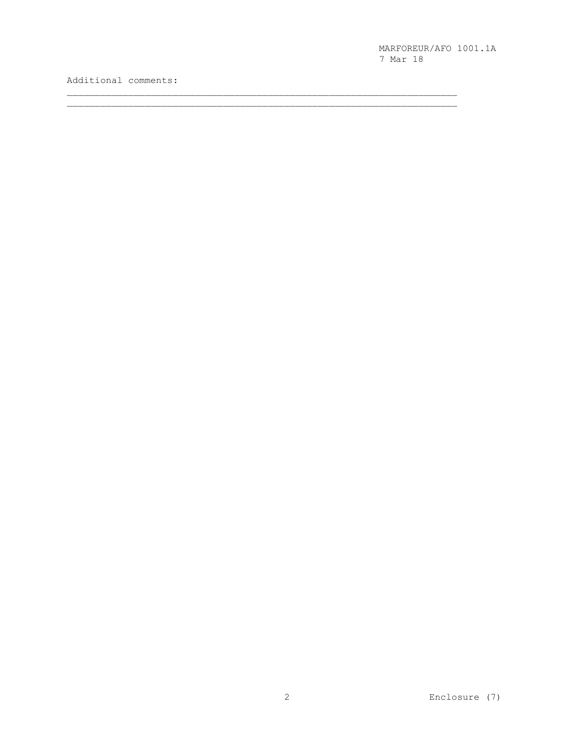Additional comments: